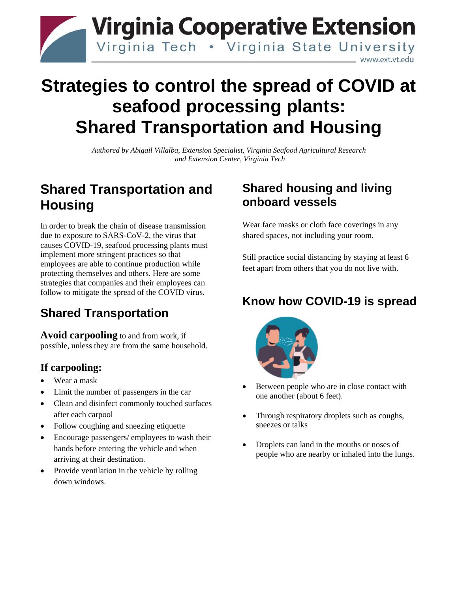

# **Strategies to control the spread of COVID at seafood processing plants: Shared Transportation and Housing**

*Authored by Abigail Villalba, Extension Specialist, Virginia Seafood Agricultural Research and Extension Center, Virginia Tech*

# **Shared Transportation and Housing**

In order to break the chain of disease transmission due to exposure to SARS-CoV-2, the virus that causes COVID-19, seafood processing plants must implement more stringent practices so that employees are able to continue production while protecting themselves and others. Here are some strategies that companies and their employees can follow to mitigate the spread of the COVID virus.

# **Shared Transportation**

**Avoid carpooling** to and from work, if possible, unless they are from the same household.

#### **If carpooling:**

- Wear a mask
- Limit the number of passengers in the car
- Clean and disinfect commonly touched surfaces after each carpool
- Follow coughing and sneezing etiquette
- Encourage passengers/ employees to wash their hands before entering the vehicle and when arriving at their destination.
- Provide ventilation in the vehicle by rolling down windows.

## **Shared housing and living onboard vessels**

Wear face masks or cloth face coverings in any shared spaces, not including your room.

Still practice social distancing by staying at least 6 feet apart from others that you do not live with.

## **Know how COVID-19 is spread**



- Between people who are in close contact with one another (about 6 feet).
- Through respiratory droplets such as coughs, sneezes or talks
- Droplets can land in the mouths or noses of people who are nearby or inhaled into the lungs.